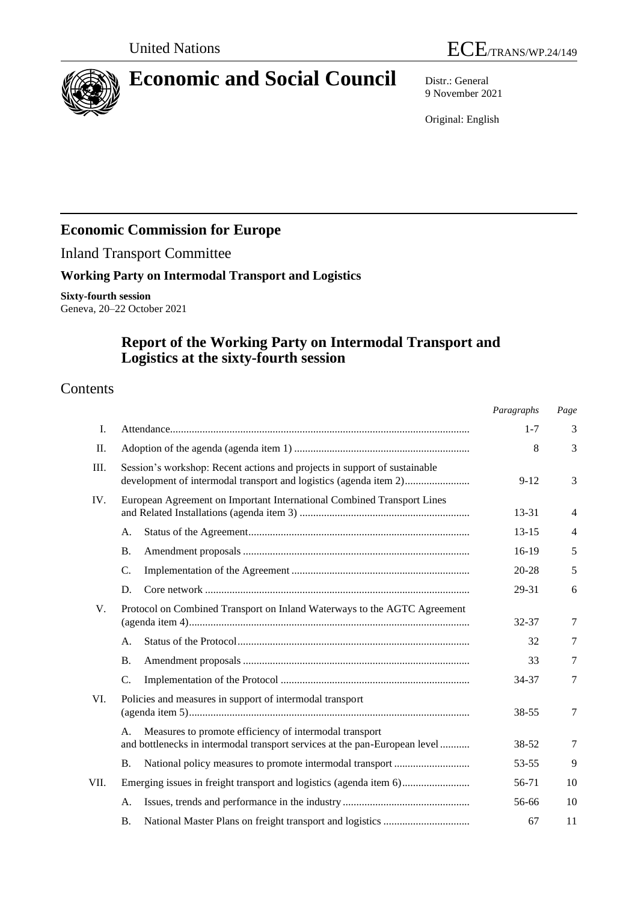

# **Economic and Social Council** Distr.: General

9 November 2021

Original: English

# **Economic Commission for Europe**

Inland Transport Committee

### **Working Party on Intermodal Transport and Logistics**

**Sixty-fourth session** Geneva, 20–22 October 2021

## **Report of the Working Party on Intermodal Transport and Logistics at the sixty-fourth session**

### Contents

|             |                                                                                                                                                | Paragraphs | Page   |
|-------------|------------------------------------------------------------------------------------------------------------------------------------------------|------------|--------|
| I.          |                                                                                                                                                | $1 - 7$    | 3      |
| П.          |                                                                                                                                                | 8          | 3      |
| III.        | Session's workshop: Recent actions and projects in support of sustainable<br>development of intermodal transport and logistics (agenda item 2) | $9 - 12$   | 3      |
| IV.         | European Agreement on Important International Combined Transport Lines                                                                         | 13-31      | 4      |
|             | A.                                                                                                                                             | $13 - 15$  | 4      |
|             | <b>B.</b>                                                                                                                                      | $16-19$    | 5      |
|             | C.                                                                                                                                             | $20 - 28$  | 5      |
|             | D.                                                                                                                                             | 29-31      | 6      |
| $V_{\cdot}$ | Protocol on Combined Transport on Inland Waterways to the AGTC Agreement                                                                       | 32-37      | 7      |
|             | A.                                                                                                                                             | 32         | 7      |
|             | <b>B.</b>                                                                                                                                      | 33         | 7      |
|             | C.                                                                                                                                             | 34-37      | $\tau$ |
| VI.         | Policies and measures in support of intermodal transport                                                                                       | 38-55      | 7      |
|             | Measures to promote efficiency of intermodal transport<br>A.<br>and bottlenecks in intermodal transport services at the pan-European level     | 38-52      | 7      |
|             | National policy measures to promote intermodal transport<br><b>B.</b>                                                                          | 53-55      | 9      |
| VII.        | Emerging issues in freight transport and logistics (agenda item 6)                                                                             | 56-71      | 10     |
|             | A.                                                                                                                                             | 56-66      | 10     |
|             | <b>B.</b>                                                                                                                                      | 67         | 11     |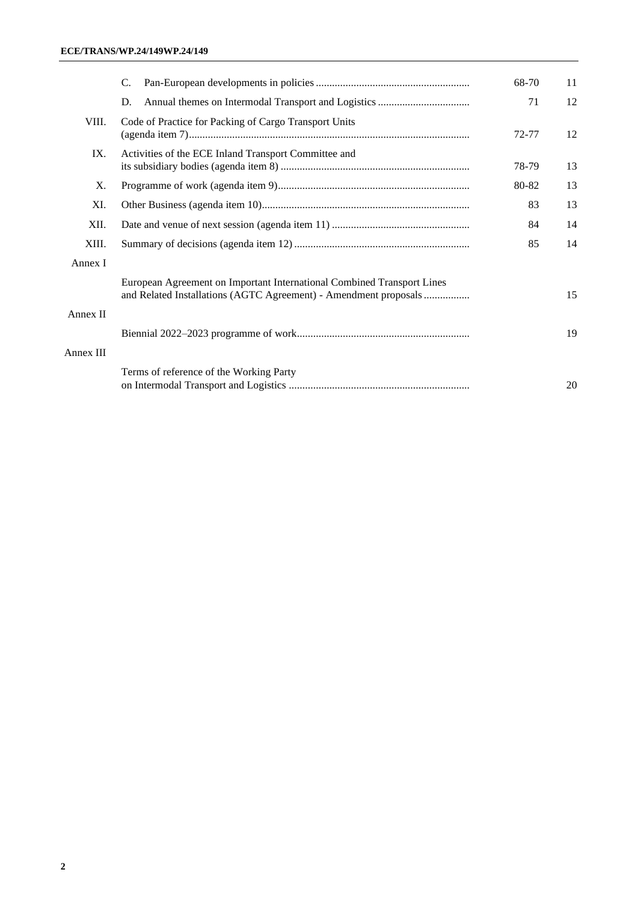|           | C.                                                                                                                                         | 68-70 | 11 |
|-----------|--------------------------------------------------------------------------------------------------------------------------------------------|-------|----|
|           | D.                                                                                                                                         | 71    | 12 |
| VIII.     | Code of Practice for Packing of Cargo Transport Units                                                                                      | 72-77 | 12 |
| IX.       | Activities of the ECE Inland Transport Committee and                                                                                       | 78-79 | 13 |
| X.        |                                                                                                                                            | 80-82 | 13 |
| XI.       |                                                                                                                                            | 83    | 13 |
| XII.      | 84                                                                                                                                         |       |    |
| XIII.     | 85                                                                                                                                         |       | 14 |
| Annex I   |                                                                                                                                            |       |    |
|           | European Agreement on Important International Combined Transport Lines<br>and Related Installations (AGTC Agreement) - Amendment proposals |       | 15 |
| Annex II  |                                                                                                                                            |       |    |
|           |                                                                                                                                            |       | 19 |
| Annex III |                                                                                                                                            |       |    |
|           | Terms of reference of the Working Party                                                                                                    |       | 20 |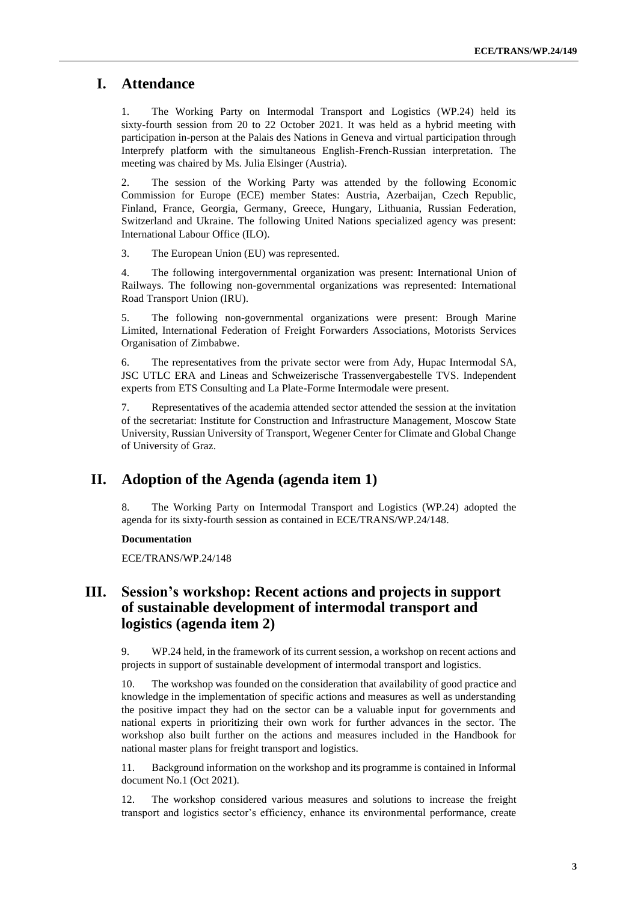### **I. Attendance**

1. The Working Party on Intermodal Transport and Logistics (WP.24) held its sixty-fourth session from 20 to 22 October 2021. It was held as a hybrid meeting with participation in-person at the Palais des Nations in Geneva and virtual participation through Interprefy platform with the simultaneous English-French-Russian interpretation. The meeting was chaired by Ms. Julia Elsinger (Austria).

2. The session of the Working Party was attended by the following Economic Commission for Europe (ECE) member States: Austria, Azerbaijan, Czech Republic, Finland, France, Georgia, Germany, Greece, Hungary, Lithuania, Russian Federation, Switzerland and Ukraine. The following United Nations specialized agency was present: International Labour Office (ILO).

3. The European Union (EU) was represented.

4. The following intergovernmental organization was present: International Union of Railways. The following non-governmental organizations was represented: International Road Transport Union (IRU).

5. The following non-governmental organizations were present: Brough Marine Limited, International Federation of Freight Forwarders Associations, Motorists Services Organisation of Zimbabwe.

6. The representatives from the private sector were from Ady, Hupac Intermodal SA, JSC UTLC ERA and Lineas and Schweizerische Trassenvergabestelle TVS. Independent experts from ETS Consulting and La Plate-Forme Intermodale were present.

7. Representatives of the academia attended sector attended the session at the invitation of the secretariat: Institute for Construction and Infrastructure Management, Moscow State University, Russian University of Transport, Wegener Center for Climate and Global Change of University of Graz.

### **II. Adoption of the Agenda (agenda item 1)**

8. The Working Party on Intermodal Transport and Logistics (WP.24) adopted the agenda for its sixty-fourth session as contained in ECE/TRANS/WP.24/148.

### **Documentation**

ECE/TRANS/WP.24/148

### **III. Session's workshop: Recent actions and projects in support of sustainable development of intermodal transport and logistics (agenda item 2)**

9. WP.24 held, in the framework of its current session, a workshop on recent actions and projects in support of sustainable development of intermodal transport and logistics.

10. The workshop was founded on the consideration that availability of good practice and knowledge in the implementation of specific actions and measures as well as understanding the positive impact they had on the sector can be a valuable input for governments and national experts in prioritizing their own work for further advances in the sector. The workshop also built further on the actions and measures included in the Handbook for national master plans for freight transport and logistics.

11. Background information on the workshop and its programme is contained in Informal document No.1 (Oct 2021).

12. The workshop considered various measures and solutions to increase the freight transport and logistics sector's efficiency, enhance its environmental performance, create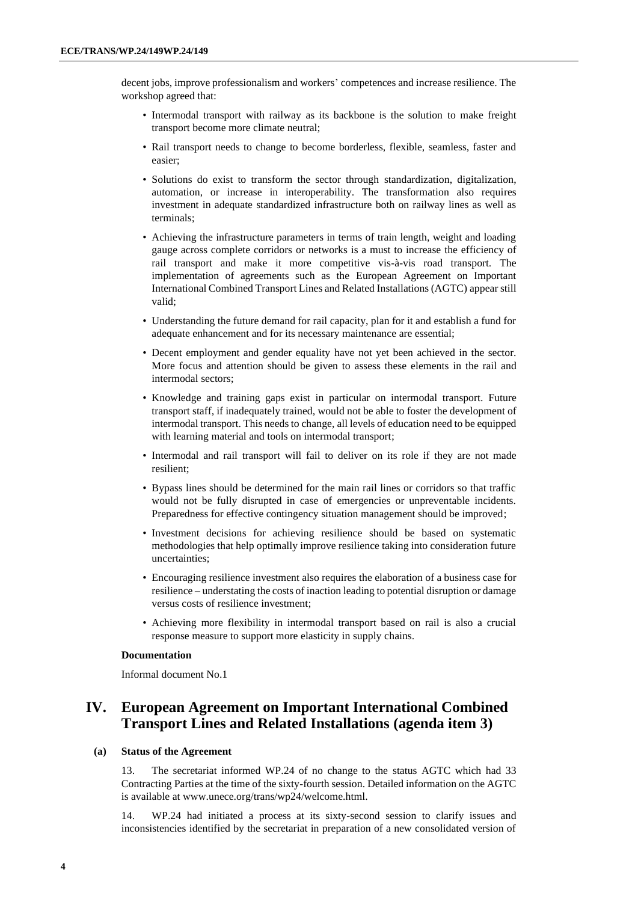decent jobs, improve professionalism and workers' competences and increase resilience. The workshop agreed that:

- Intermodal transport with railway as its backbone is the solution to make freight transport become more climate neutral;
- Rail transport needs to change to become borderless, flexible, seamless, faster and easier;
- Solutions do exist to transform the sector through standardization, digitalization, automation, or increase in interoperability. The transformation also requires investment in adequate standardized infrastructure both on railway lines as well as terminals;
- Achieving the infrastructure parameters in terms of train length, weight and loading gauge across complete corridors or networks is a must to increase the efficiency of rail transport and make it more competitive vis-à-vis road transport. The implementation of agreements such as the European Agreement on Important International Combined Transport Lines and Related Installations (AGTC) appear still valid;
- Understanding the future demand for rail capacity, plan for it and establish a fund for adequate enhancement and for its necessary maintenance are essential;
- Decent employment and gender equality have not yet been achieved in the sector. More focus and attention should be given to assess these elements in the rail and intermodal sectors;
- Knowledge and training gaps exist in particular on intermodal transport. Future transport staff, if inadequately trained, would not be able to foster the development of intermodal transport. This needs to change, all levels of education need to be equipped with learning material and tools on intermodal transport;
- Intermodal and rail transport will fail to deliver on its role if they are not made resilient;
- Bypass lines should be determined for the main rail lines or corridors so that traffic would not be fully disrupted in case of emergencies or unpreventable incidents. Preparedness for effective contingency situation management should be improved;
- Investment decisions for achieving resilience should be based on systematic methodologies that help optimally improve resilience taking into consideration future uncertainties;
- Encouraging resilience investment also requires the elaboration of a business case for resilience – understating the costs of inaction leading to potential disruption or damage versus costs of resilience investment;
- Achieving more flexibility in intermodal transport based on rail is also a crucial response measure to support more elasticity in supply chains.

#### **Documentation**

Informal document No.1

### **IV. European Agreement on Important International Combined Transport Lines and Related Installations (agenda item 3)**

### **(a) Status of the Agreement**

13. The secretariat informed WP.24 of no change to the status AGTC which had 33 Contracting Parties at the time of the sixty-fourth session. Detailed information on the AGTC is available at www.unece.org/trans/wp24/welcome.html.

14. WP.24 had initiated a process at its sixty-second session to clarify issues and inconsistencies identified by the secretariat in preparation of a new consolidated version of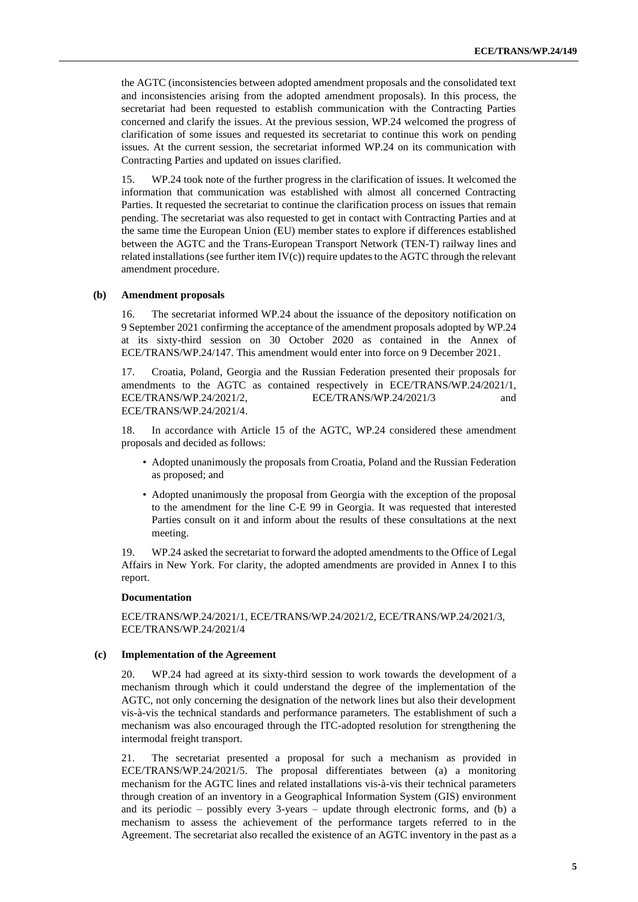the AGTC (inconsistencies between adopted amendment proposals and the consolidated text and inconsistencies arising from the adopted amendment proposals). In this process, the secretariat had been requested to establish communication with the Contracting Parties concerned and clarify the issues. At the previous session, WP.24 welcomed the progress of clarification of some issues and requested its secretariat to continue this work on pending issues. At the current session, the secretariat informed WP.24 on its communication with Contracting Parties and updated on issues clarified.

15. WP.24 took note of the further progress in the clarification of issues. It welcomed the information that communication was established with almost all concerned Contracting Parties. It requested the secretariat to continue the clarification process on issues that remain pending. The secretariat was also requested to get in contact with Contracting Parties and at the same time the European Union (EU) member states to explore if differences established between the AGTC and the Trans-European Transport Network (TEN-T) railway lines and related installations (see further item  $IV(c)$ ) require updates to the AGTC through the relevant amendment procedure.

#### **(b) Amendment proposals**

16. The secretariat informed WP.24 about the issuance of the depository notification on 9 September 2021 confirming the acceptance of the amendment proposals adopted by WP.24 at its sixty-third session on 30 October 2020 as contained in the Annex of ECE/TRANS/WP.24/147. This amendment would enter into force on 9 December 2021.

17. Croatia, Poland, Georgia and the Russian Federation presented their proposals for amendments to the AGTC as contained respectively in ECE/TRANS/WP.24/2021/1, ECE/TRANS/WP.24/2021/2, ECE/TRANS/WP.24/2021/3 and ECE/TRANS/WP.24/2021/4.

In accordance with Article 15 of the AGTC, WP.24 considered these amendment proposals and decided as follows:

- Adopted unanimously the proposals from Croatia, Poland and the Russian Federation as proposed; and
- Adopted unanimously the proposal from Georgia with the exception of the proposal to the amendment for the line C-E 99 in Georgia. It was requested that interested Parties consult on it and inform about the results of these consultations at the next meeting.

19. WP.24 asked the secretariat to forward the adopted amendments to the Office of Legal Affairs in New York. For clarity, the adopted amendments are provided in Annex I to this report.

#### **Documentation**

ECE/TRANS/WP.24/2021/1, ECE/TRANS/WP.24/2021/2, ECE/TRANS/WP.24/2021/3, ECE/TRANS/WP.24/2021/4

#### **(c) Implementation of the Agreement**

20. WP.24 had agreed at its sixty-third session to work towards the development of a mechanism through which it could understand the degree of the implementation of the AGTC, not only concerning the designation of the network lines but also their development vis-à-vis the technical standards and performance parameters. The establishment of such a mechanism was also encouraged through the ITC-adopted resolution for strengthening the intermodal freight transport.

21. The secretariat presented a proposal for such a mechanism as provided in ECE/TRANS/WP.24/2021/5. The proposal differentiates between (a) a monitoring mechanism for the AGTC lines and related installations vis-à-vis their technical parameters through creation of an inventory in a Geographical Information System (GIS) environment and its periodic – possibly every  $3$ -years – update through electronic forms, and (b) a mechanism to assess the achievement of the performance targets referred to in the Agreement. The secretariat also recalled the existence of an AGTC inventory in the past as a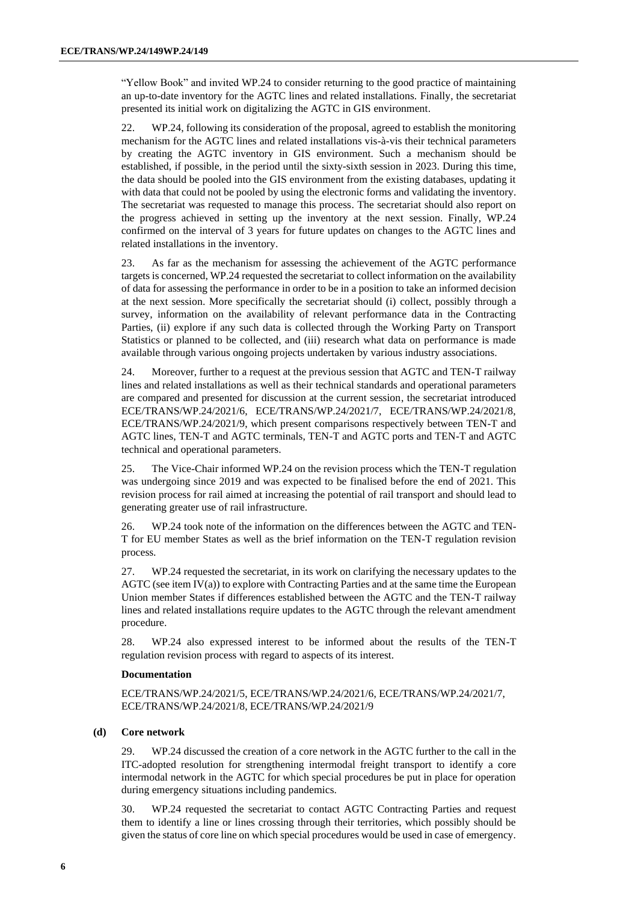"Yellow Book" and invited WP.24 to consider returning to the good practice of maintaining an up-to-date inventory for the AGTC lines and related installations. Finally, the secretariat presented its initial work on digitalizing the AGTC in GIS environment.

22. WP.24, following its consideration of the proposal, agreed to establish the monitoring mechanism for the AGTC lines and related installations vis-à-vis their technical parameters by creating the AGTC inventory in GIS environment. Such a mechanism should be established, if possible, in the period until the sixty-sixth session in 2023. During this time, the data should be pooled into the GIS environment from the existing databases, updating it with data that could not be pooled by using the electronic forms and validating the inventory. The secretariat was requested to manage this process. The secretariat should also report on the progress achieved in setting up the inventory at the next session. Finally, WP.24 confirmed on the interval of 3 years for future updates on changes to the AGTC lines and related installations in the inventory.

23. As far as the mechanism for assessing the achievement of the AGTC performance targets is concerned, WP.24 requested the secretariat to collect information on the availability of data for assessing the performance in order to be in a position to take an informed decision at the next session. More specifically the secretariat should (i) collect, possibly through a survey, information on the availability of relevant performance data in the Contracting Parties, (ii) explore if any such data is collected through the Working Party on Transport Statistics or planned to be collected, and (iii) research what data on performance is made available through various ongoing projects undertaken by various industry associations.

24. Moreover, further to a request at the previous session that AGTC and TEN-T railway lines and related installations as well as their technical standards and operational parameters are compared and presented for discussion at the current session, the secretariat introduced ECE/TRANS/WP.24/2021/6, ECE/TRANS/WP.24/2021/7, ECE/TRANS/WP.24/2021/8, ECE/TRANS/WP.24/2021/9, which present comparisons respectively between TEN-T and AGTC lines, TEN-T and AGTC terminals, TEN-T and AGTC ports and TEN-T and AGTC technical and operational parameters.

25. The Vice-Chair informed WP.24 on the revision process which the TEN-T regulation was undergoing since 2019 and was expected to be finalised before the end of 2021. This revision process for rail aimed at increasing the potential of rail transport and should lead to generating greater use of rail infrastructure.

26. WP.24 took note of the information on the differences between the AGTC and TEN-T for EU member States as well as the brief information on the TEN-T regulation revision process.

27. WP.24 requested the secretariat, in its work on clarifying the necessary updates to the AGTC (see item IV(a)) to explore with Contracting Parties and at the same time the European Union member States if differences established between the AGTC and the TEN-T railway lines and related installations require updates to the AGTC through the relevant amendment procedure.

28. WP.24 also expressed interest to be informed about the results of the TEN-T regulation revision process with regard to aspects of its interest.

#### **Documentation**

ECE/TRANS/WP.24/2021/5, ECE/TRANS/WP.24/2021/6, ECE/TRANS/WP.24/2021/7, ECE/TRANS/WP.24/2021/8, ECE/TRANS/WP.24/2021/9

### **(d) Core network**

29. WP.24 discussed the creation of a core network in the AGTC further to the call in the ITC-adopted resolution for strengthening intermodal freight transport to identify a core intermodal network in the AGTC for which special procedures be put in place for operation during emergency situations including pandemics.

30. WP.24 requested the secretariat to contact AGTC Contracting Parties and request them to identify a line or lines crossing through their territories, which possibly should be given the status of core line on which special procedures would be used in case of emergency.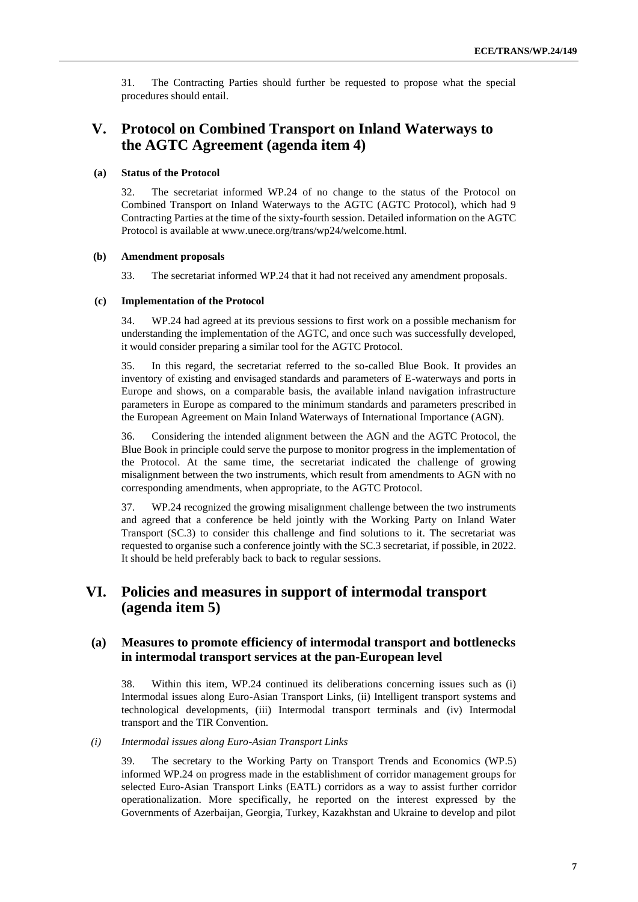31. The Contracting Parties should further be requested to propose what the special procedures should entail.

### **V. Protocol on Combined Transport on Inland Waterways to the AGTC Agreement (agenda item 4)**

### **(a) Status of the Protocol**

32. The secretariat informed WP.24 of no change to the status of the Protocol on Combined Transport on Inland Waterways to the AGTC (AGTC Protocol), which had 9 Contracting Parties at the time of the sixty-fourth session. Detailed information on the AGTC Protocol is available at www.unece.org/trans/wp24/welcome.html.

#### **(b) Amendment proposals**

33. The secretariat informed WP.24 that it had not received any amendment proposals.

### **(c) Implementation of the Protocol**

34. WP.24 had agreed at its previous sessions to first work on a possible mechanism for understanding the implementation of the AGTC, and once such was successfully developed, it would consider preparing a similar tool for the AGTC Protocol.

35. In this regard, the secretariat referred to the so-called Blue Book. It provides an inventory of existing and envisaged standards and parameters of E-waterways and ports in Europe and shows, on a comparable basis, the available inland navigation infrastructure parameters in Europe as compared to the minimum standards and parameters prescribed in the European Agreement on Main Inland Waterways of International Importance (AGN).

36. Considering the intended alignment between the AGN and the AGTC Protocol, the Blue Book in principle could serve the purpose to monitor progress in the implementation of the Protocol. At the same time, the secretariat indicated the challenge of growing misalignment between the two instruments, which result from amendments to AGN with no corresponding amendments, when appropriate, to the AGTC Protocol.

37. WP.24 recognized the growing misalignment challenge between the two instruments and agreed that a conference be held jointly with the Working Party on Inland Water Transport (SC.3) to consider this challenge and find solutions to it. The secretariat was requested to organise such a conference jointly with the SC.3 secretariat, if possible, in 2022. It should be held preferably back to back to regular sessions.

### **VI. Policies and measures in support of intermodal transport (agenda item 5)**

### **(a) Measures to promote efficiency of intermodal transport and bottlenecks in intermodal transport services at the pan-European level**

38. Within this item, WP.24 continued its deliberations concerning issues such as (i) Intermodal issues along Euro-Asian Transport Links, (ii) Intelligent transport systems and technological developments, (iii) Intermodal transport terminals and (iv) Intermodal transport and the TIR Convention.

#### *(i) Intermodal issues along Euro-Asian Transport Links*

39. The secretary to the Working Party on Transport Trends and Economics (WP.5) informed WP.24 on progress made in the establishment of corridor management groups for selected Euro-Asian Transport Links (EATL) corridors as a way to assist further corridor operationalization. More specifically, he reported on the interest expressed by the Governments of Azerbaijan, Georgia, Turkey, Kazakhstan and Ukraine to develop and pilot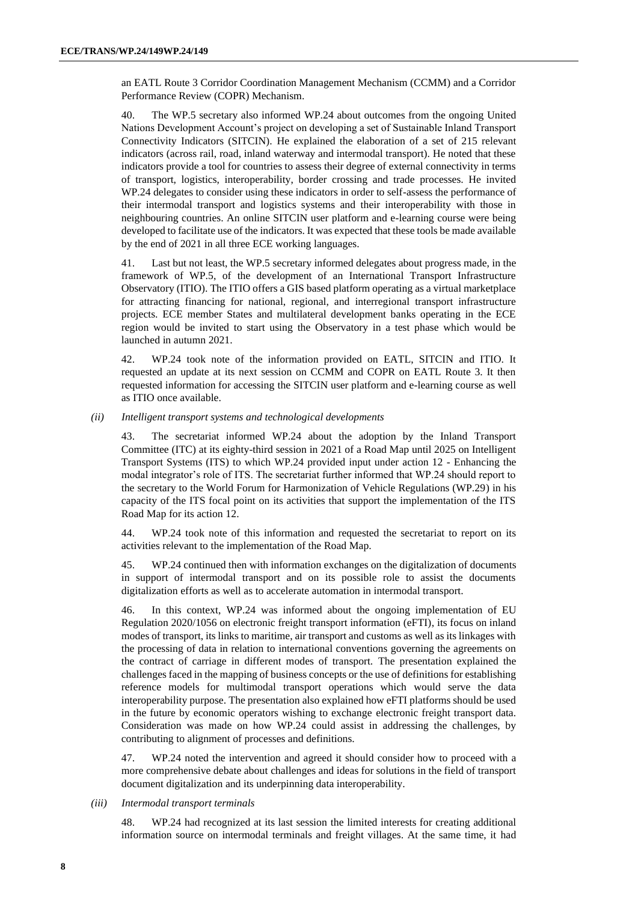an EATL Route 3 Corridor Coordination Management Mechanism (CCMM) and a Corridor Performance Review (COPR) Mechanism.

40. The WP.5 secretary also informed WP.24 about outcomes from the ongoing United Nations Development Account's project on developing a set of Sustainable Inland Transport Connectivity Indicators (SITCIN). He explained the elaboration of a set of 215 relevant indicators (across rail, road, inland waterway and intermodal transport). He noted that these indicators provide a tool for countries to assess their degree of external connectivity in terms of transport, logistics, interoperability, border crossing and trade processes. He invited WP.24 delegates to consider using these indicators in order to self-assess the performance of their intermodal transport and logistics systems and their interoperability with those in neighbouring countries. An online SITCIN user platform and e-learning course were being developed to facilitate use of the indicators. It was expected that these tools be made available by the end of 2021 in all three ECE working languages.

41. Last but not least, the WP.5 secretary informed delegates about progress made, in the framework of WP.5, of the development of an International Transport Infrastructure Observatory (ITIO). The ITIO offers a GIS based platform operating as a virtual marketplace for attracting financing for national, regional, and interregional transport infrastructure projects. ECE member States and multilateral development banks operating in the ECE region would be invited to start using the Observatory in a test phase which would be launched in autumn 2021.

42. WP.24 took note of the information provided on EATL, SITCIN and ITIO. It requested an update at its next session on CCMM and COPR on EATL Route 3. It then requested information for accessing the SITCIN user platform and e-learning course as well as ITIO once available.

*(ii) Intelligent transport systems and technological developments*

43. The secretariat informed WP.24 about the adoption by the Inland Transport Committee (ITC) at its eighty-third session in 2021 of a Road Map until 2025 on Intelligent Transport Systems (ITS) to which WP.24 provided input under action 12 - Enhancing the modal integrator's role of ITS. The secretariat further informed that WP.24 should report to the secretary to the World Forum for Harmonization of Vehicle Regulations (WP.29) in his capacity of the ITS focal point on its activities that support the implementation of the ITS Road Map for its action 12.

44. WP.24 took note of this information and requested the secretariat to report on its activities relevant to the implementation of the Road Map.

45. WP.24 continued then with information exchanges on the digitalization of documents in support of intermodal transport and on its possible role to assist the documents digitalization efforts as well as to accelerate automation in intermodal transport.

46. In this context, WP.24 was informed about the ongoing implementation of EU Regulation 2020/1056 on electronic freight transport information (eFTI), its focus on inland modes of transport, its links to maritime, air transport and customs as well as its linkages with the processing of data in relation to international conventions governing the agreements on the contract of carriage in different modes of transport. The presentation explained the challenges faced in the mapping of business concepts or the use of definitions for establishing reference models for multimodal transport operations which would serve the data interoperability purpose. The presentation also explained how eFTI platforms should be used in the future by economic operators wishing to exchange electronic freight transport data. Consideration was made on how WP.24 could assist in addressing the challenges, by contributing to alignment of processes and definitions.

47. WP.24 noted the intervention and agreed it should consider how to proceed with a more comprehensive debate about challenges and ideas for solutions in the field of transport document digitalization and its underpinning data interoperability.

### *(iii) Intermodal transport terminals*

48. WP.24 had recognized at its last session the limited interests for creating additional information source on intermodal terminals and freight villages. At the same time, it had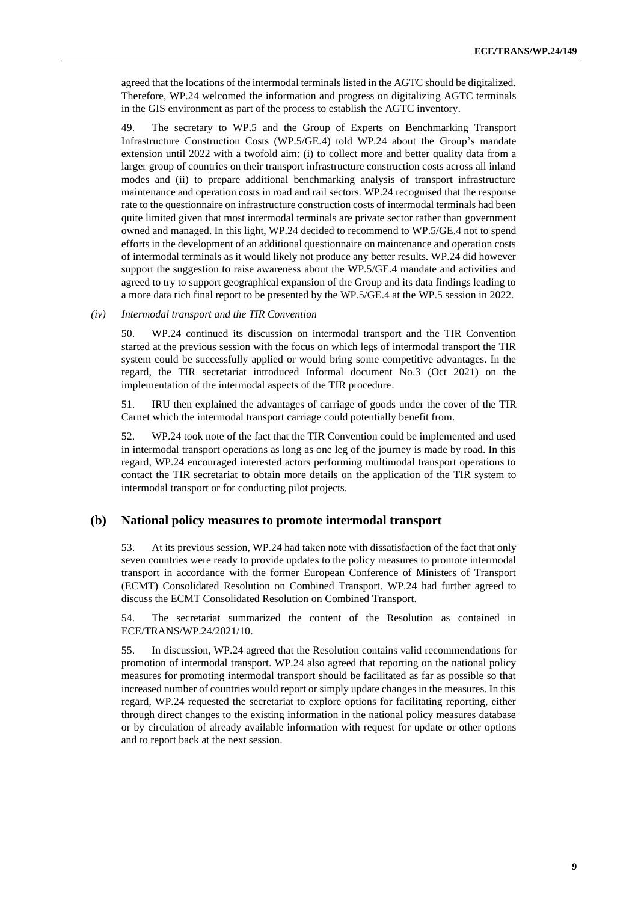agreed that the locations of the intermodal terminals listed in the AGTC should be digitalized. Therefore, WP.24 welcomed the information and progress on digitalizing AGTC terminals in the GIS environment as part of the process to establish the AGTC inventory.

49. The secretary to WP.5 and the Group of Experts on Benchmarking Transport Infrastructure Construction Costs (WP.5/GE.4) told WP.24 about the Group's mandate extension until 2022 with a twofold aim: (i) to collect more and better quality data from a larger group of countries on their transport infrastructure construction costs across all inland modes and (ii) to prepare additional benchmarking analysis of transport infrastructure maintenance and operation costs in road and rail sectors. WP.24 recognised that the response rate to the questionnaire on infrastructure construction costs of intermodal terminals had been quite limited given that most intermodal terminals are private sector rather than government owned and managed. In this light, WP.24 decided to recommend to WP.5/GE.4 not to spend efforts in the development of an additional questionnaire on maintenance and operation costs of intermodal terminals as it would likely not produce any better results. WP.24 did however support the suggestion to raise awareness about the WP.5/GE.4 mandate and activities and agreed to try to support geographical expansion of the Group and its data findings leading to a more data rich final report to be presented by the WP.5/GE.4 at the WP.5 session in 2022.

### *(iv) Intermodal transport and the TIR Convention*

50. WP.24 continued its discussion on intermodal transport and the TIR Convention started at the previous session with the focus on which legs of intermodal transport the TIR system could be successfully applied or would bring some competitive advantages. In the regard, the TIR secretariat introduced Informal document No.3 (Oct 2021) on the implementation of the intermodal aspects of the TIR procedure.

51. IRU then explained the advantages of carriage of goods under the cover of the TIR Carnet which the intermodal transport carriage could potentially benefit from.

52. WP.24 took note of the fact that the TIR Convention could be implemented and used in intermodal transport operations as long as one leg of the journey is made by road. In this regard, WP.24 encouraged interested actors performing multimodal transport operations to contact the TIR secretariat to obtain more details on the application of the TIR system to intermodal transport or for conducting pilot projects.

### **(b) National policy measures to promote intermodal transport**

53. At its previous session, WP.24 had taken note with dissatisfaction of the fact that only seven countries were ready to provide updates to the policy measures to promote intermodal transport in accordance with the former European Conference of Ministers of Transport (ECMT) Consolidated Resolution on Combined Transport. WP.24 had further agreed to discuss the ECMT Consolidated Resolution on Combined Transport.

54. The secretariat summarized the content of the Resolution as contained in ECE/TRANS/WP.24/2021/10.

55. In discussion, WP.24 agreed that the Resolution contains valid recommendations for promotion of intermodal transport. WP.24 also agreed that reporting on the national policy measures for promoting intermodal transport should be facilitated as far as possible so that increased number of countries would report or simply update changes in the measures. In this regard, WP.24 requested the secretariat to explore options for facilitating reporting, either through direct changes to the existing information in the national policy measures database or by circulation of already available information with request for update or other options and to report back at the next session.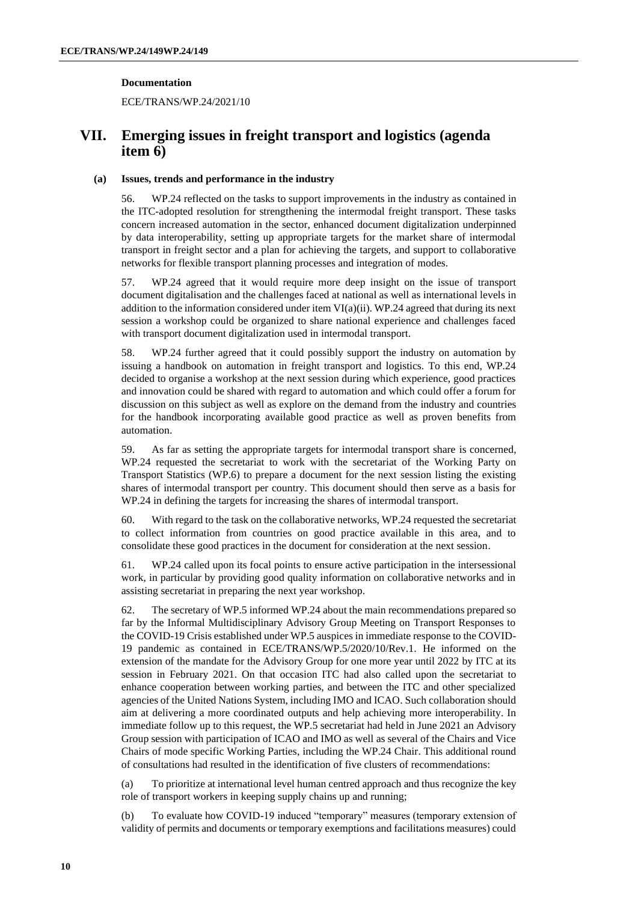### **Documentation**

ECE/TRANS/WP.24/2021/10

### **VII. Emerging issues in freight transport and logistics (agenda item 6)**

### **(a) Issues, trends and performance in the industry**

56. WP.24 reflected on the tasks to support improvements in the industry as contained in the ITC-adopted resolution for strengthening the intermodal freight transport. These tasks concern increased automation in the sector, enhanced document digitalization underpinned by data interoperability, setting up appropriate targets for the market share of intermodal transport in freight sector and a plan for achieving the targets, and support to collaborative networks for flexible transport planning processes and integration of modes.

57. WP.24 agreed that it would require more deep insight on the issue of transport document digitalisation and the challenges faced at national as well as international levels in addition to the information considered under item  $VI(a)(ii)$ . WP.24 agreed that during its next session a workshop could be organized to share national experience and challenges faced with transport document digitalization used in intermodal transport.

58. WP.24 further agreed that it could possibly support the industry on automation by issuing a handbook on automation in freight transport and logistics. To this end, WP.24 decided to organise a workshop at the next session during which experience, good practices and innovation could be shared with regard to automation and which could offer a forum for discussion on this subject as well as explore on the demand from the industry and countries for the handbook incorporating available good practice as well as proven benefits from automation.

59. As far as setting the appropriate targets for intermodal transport share is concerned, WP.24 requested the secretariat to work with the secretariat of the Working Party on Transport Statistics (WP.6) to prepare a document for the next session listing the existing shares of intermodal transport per country. This document should then serve as a basis for WP.24 in defining the targets for increasing the shares of intermodal transport.

60. With regard to the task on the collaborative networks, WP.24 requested the secretariat to collect information from countries on good practice available in this area, and to consolidate these good practices in the document for consideration at the next session.

61. WP.24 called upon its focal points to ensure active participation in the intersessional work, in particular by providing good quality information on collaborative networks and in assisting secretariat in preparing the next year workshop.

62. The secretary of WP.5 informed WP.24 about the main recommendations prepared so far by the Informal Multidisciplinary Advisory Group Meeting on Transport Responses to the COVID-19 Crisis established under WP.5 auspices in immediate response to the COVID-19 pandemic as contained in ECE/TRANS/WP.5/2020/10/Rev.1. He informed on the extension of the mandate for the Advisory Group for one more year until 2022 by ITC at its session in February 2021. On that occasion ITC had also called upon the secretariat to enhance cooperation between working parties, and between the ITC and other specialized agencies of the United Nations System, including IMO and ICAO. Such collaboration should aim at delivering a more coordinated outputs and help achieving more interoperability. In immediate follow up to this request, the WP.5 secretariat had held in June 2021 an Advisory Group session with participation of ICAO and IMO as well as several of the Chairs and Vice Chairs of mode specific Working Parties, including the WP.24 Chair. This additional round of consultations had resulted in the identification of five clusters of recommendations:

(a) To prioritize at international level human centred approach and thus recognize the key role of transport workers in keeping supply chains up and running;

(b) To evaluate how COVID-19 induced "temporary" measures (temporary extension of validity of permits and documents or temporary exemptions and facilitations measures) could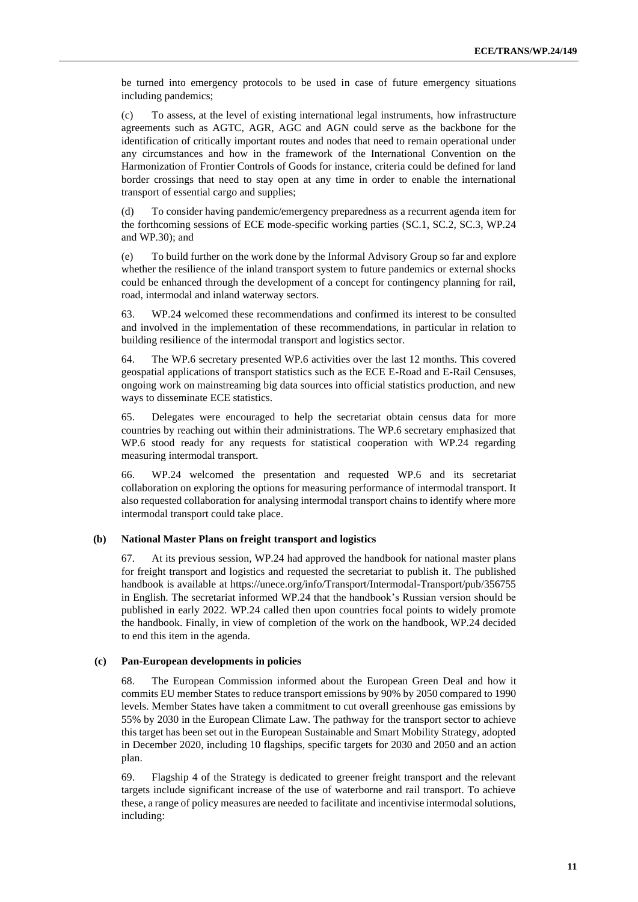be turned into emergency protocols to be used in case of future emergency situations including pandemics;

(c) To assess, at the level of existing international legal instruments, how infrastructure agreements such as AGTC, AGR, AGC and AGN could serve as the backbone for the identification of critically important routes and nodes that need to remain operational under any circumstances and how in the framework of the International Convention on the Harmonization of Frontier Controls of Goods for instance, criteria could be defined for land border crossings that need to stay open at any time in order to enable the international transport of essential cargo and supplies;

(d) To consider having pandemic/emergency preparedness as a recurrent agenda item for the forthcoming sessions of ECE mode-specific working parties (SC.1, SC.2, SC.3, WP.24 and WP.30); and

(e) To build further on the work done by the Informal Advisory Group so far and explore whether the resilience of the inland transport system to future pandemics or external shocks could be enhanced through the development of a concept for contingency planning for rail, road, intermodal and inland waterway sectors.

63. WP.24 welcomed these recommendations and confirmed its interest to be consulted and involved in the implementation of these recommendations, in particular in relation to building resilience of the intermodal transport and logistics sector.

64. The WP.6 secretary presented WP.6 activities over the last 12 months. This covered geospatial applications of transport statistics such as the ECE E-Road and E-Rail Censuses, ongoing work on mainstreaming big data sources into official statistics production, and new ways to disseminate ECE statistics.

65. Delegates were encouraged to help the secretariat obtain census data for more countries by reaching out within their administrations. The WP.6 secretary emphasized that WP.6 stood ready for any requests for statistical cooperation with WP.24 regarding measuring intermodal transport.

66. WP.24 welcomed the presentation and requested WP.6 and its secretariat collaboration on exploring the options for measuring performance of intermodal transport. It also requested collaboration for analysing intermodal transport chains to identify where more intermodal transport could take place.

#### **(b) National Master Plans on freight transport and logistics**

67. At its previous session, WP.24 had approved the handbook for national master plans for freight transport and logistics and requested the secretariat to publish it. The published handbook is available at<https://unece.org/info/Transport/Intermodal-Transport/pub/356755> in English. The secretariat informed WP.24 that the handbook's Russian version should be published in early 2022. WP.24 called then upon countries focal points to widely promote the handbook. Finally, in view of completion of the work on the handbook, WP.24 decided to end this item in the agenda.

#### **(c) Pan-European developments in policies**

68. The European Commission informed about the European Green Deal and how it commits EU member States to reduce transport emissions by 90% by 2050 compared to 1990 levels. Member States have taken a commitment to cut overall greenhouse gas emissions by 55% by 2030 in the European Climate Law. The pathway for the transport sector to achieve this target has been set out in the European Sustainable and Smart Mobility Strategy, adopted in December 2020, including 10 flagships, specific targets for 2030 and 2050 and an action plan.

69. Flagship 4 of the Strategy is dedicated to greener freight transport and the relevant targets include significant increase of the use of waterborne and rail transport. To achieve these, a range of policy measures are needed to facilitate and incentivise intermodal solutions, including: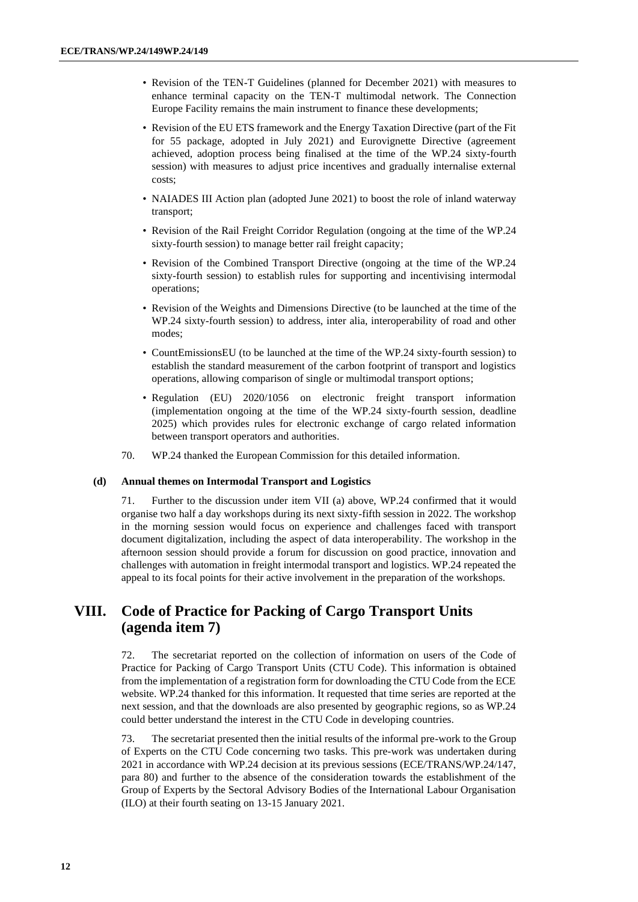- Revision of the TEN-T Guidelines (planned for December 2021) with measures to enhance terminal capacity on the TEN-T multimodal network. The Connection Europe Facility remains the main instrument to finance these developments;
- Revision of the EU ETS framework and the Energy Taxation Directive (part of the Fit for 55 package, adopted in July 2021) and Eurovignette Directive (agreement achieved, adoption process being finalised at the time of the WP.24 sixty-fourth session) with measures to adjust price incentives and gradually internalise external costs;
- NAIADES III Action plan (adopted June 2021) to boost the role of inland waterway transport;
- Revision of the Rail Freight Corridor Regulation (ongoing at the time of the WP.24 sixty-fourth session) to manage better rail freight capacity;
- Revision of the Combined Transport Directive (ongoing at the time of the WP.24 sixty-fourth session) to establish rules for supporting and incentivising intermodal operations;
- Revision of the Weights and Dimensions Directive (to be launched at the time of the WP.24 sixty-fourth session) to address, inter alia, interoperability of road and other modes;
- CountEmissionsEU (to be launched at the time of the WP.24 sixty-fourth session) to establish the standard measurement of the carbon footprint of transport and logistics operations, allowing comparison of single or multimodal transport options;
- Regulation (EU) 2020/1056 on electronic freight transport information (implementation ongoing at the time of the WP.24 sixty-fourth session, deadline 2025) which provides rules for electronic exchange of cargo related information between transport operators and authorities.
- 70. WP.24 thanked the European Commission for this detailed information.

#### **(d) Annual themes on Intermodal Transport and Logistics**

71. Further to the discussion under item VII (a) above, WP.24 confirmed that it would organise two half a day workshops during its next sixty-fifth session in 2022. The workshop in the morning session would focus on experience and challenges faced with transport document digitalization, including the aspect of data interoperability. The workshop in the afternoon session should provide a forum for discussion on good practice, innovation and challenges with automation in freight intermodal transport and logistics. WP.24 repeated the appeal to its focal points for their active involvement in the preparation of the workshops.

### **VIII. Code of Practice for Packing of Cargo Transport Units (agenda item 7)**

72. The secretariat reported on the collection of information on users of the Code of Practice for Packing of Cargo Transport Units (CTU Code). This information is obtained from the implementation of a registration form for downloading the CTU Code from the ECE website. WP.24 thanked for this information. It requested that time series are reported at the next session, and that the downloads are also presented by geographic regions, so as WP.24 could better understand the interest in the CTU Code in developing countries.

73. The secretariat presented then the initial results of the informal pre-work to the Group of Experts on the CTU Code concerning two tasks. This pre-work was undertaken during 2021 in accordance with WP.24 decision at its previous sessions (ECE/TRANS/WP.24/147, para 80) and further to the absence of the consideration towards the establishment of the Group of Experts by the Sectoral Advisory Bodies of the International Labour Organisation (ILO) at their fourth seating on 13-15 January 2021.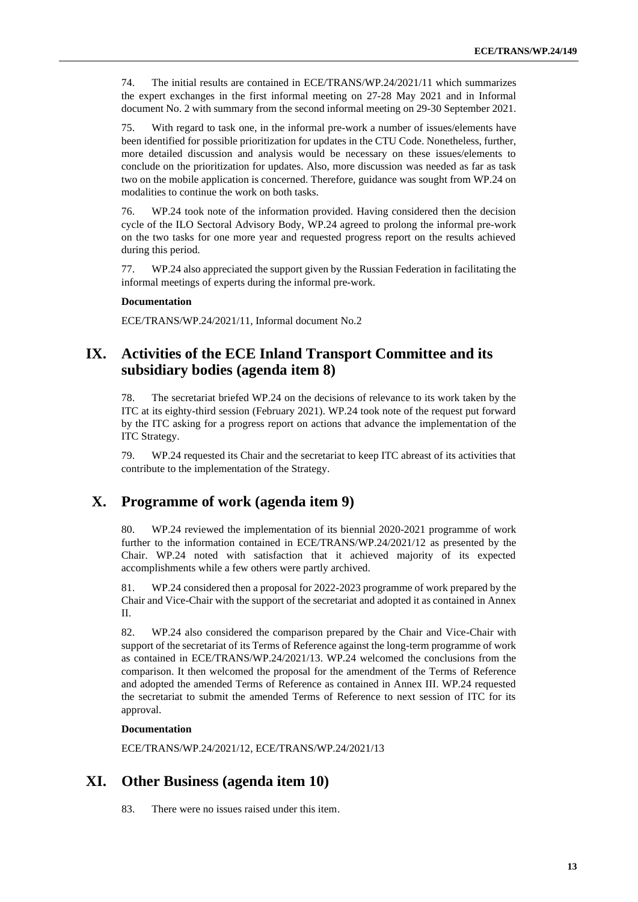74. The initial results are contained in ECE/TRANS/WP.24/2021/11 which summarizes the expert exchanges in the first informal meeting on 27-28 May 2021 and in Informal document No. 2 with summary from the second informal meeting on 29-30 September 2021.

75. With regard to task one, in the informal pre-work a number of issues/elements have been identified for possible prioritization for updates in the CTU Code. Nonetheless, further, more detailed discussion and analysis would be necessary on these issues/elements to conclude on the prioritization for updates. Also, more discussion was needed as far as task two on the mobile application is concerned. Therefore, guidance was sought from WP.24 on modalities to continue the work on both tasks.

76. WP.24 took note of the information provided. Having considered then the decision cycle of the ILO Sectoral Advisory Body, WP.24 agreed to prolong the informal pre-work on the two tasks for one more year and requested progress report on the results achieved during this period.

77. WP.24 also appreciated the support given by the Russian Federation in facilitating the informal meetings of experts during the informal pre-work.

### **Documentation**

ECE/TRANS/WP.24/2021/11, Informal document No.2

### **IX. Activities of the ECE Inland Transport Committee and its subsidiary bodies (agenda item 8)**

78. The secretariat briefed WP.24 on the decisions of relevance to its work taken by the ITC at its eighty-third session (February 2021). WP.24 took note of the request put forward by the ITC asking for a progress report on actions that advance the implementation of the ITC Strategy.

79. WP.24 requested its Chair and the secretariat to keep ITC abreast of its activities that contribute to the implementation of the Strategy.

### **X. Programme of work (agenda item 9)**

80. WP.24 reviewed the implementation of its biennial 2020-2021 programme of work further to the information contained in ECE/TRANS/WP.24/2021/12 as presented by the Chair. WP.24 noted with satisfaction that it achieved majority of its expected accomplishments while a few others were partly archived.

81. WP.24 considered then a proposal for 2022-2023 programme of work prepared by the Chair and Vice-Chair with the support of the secretariat and adopted it as contained in Annex II.

82. WP.24 also considered the comparison prepared by the Chair and Vice-Chair with support of the secretariat of its Terms of Reference against the long-term programme of work as contained in ECE/TRANS/WP.24/2021/13. WP.24 welcomed the conclusions from the comparison. It then welcomed the proposal for the amendment of the Terms of Reference and adopted the amended Terms of Reference as contained in Annex III. WP.24 requested the secretariat to submit the amended Terms of Reference to next session of ITC for its approval.

#### **Documentation**

ECE/TRANS/WP.24/2021/12, ECE/TRANS/WP.24/2021/13

### **XI. Other Business (agenda item 10)**

83. There were no issues raised under this item.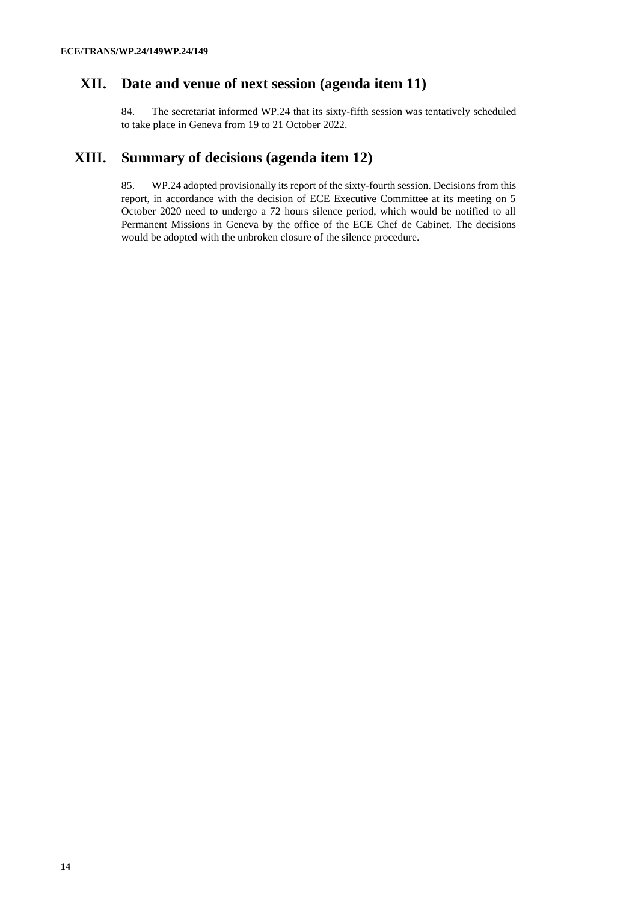### **XII. Date and venue of next session (agenda item 11)**

84. The secretariat informed WP.24 that its sixty-fifth session was tentatively scheduled to take place in Geneva from 19 to 21 October 2022.

### **XIII. Summary of decisions (agenda item 12)**

85. WP.24 adopted provisionally its report of the sixty-fourth session. Decisions from this report, in accordance with the decision of ECE Executive Committee at its meeting on 5 October 2020 need to undergo a 72 hours silence period, which would be notified to all Permanent Missions in Geneva by the office of the ECE Chef de Cabinet. The decisions would be adopted with the unbroken closure of the silence procedure.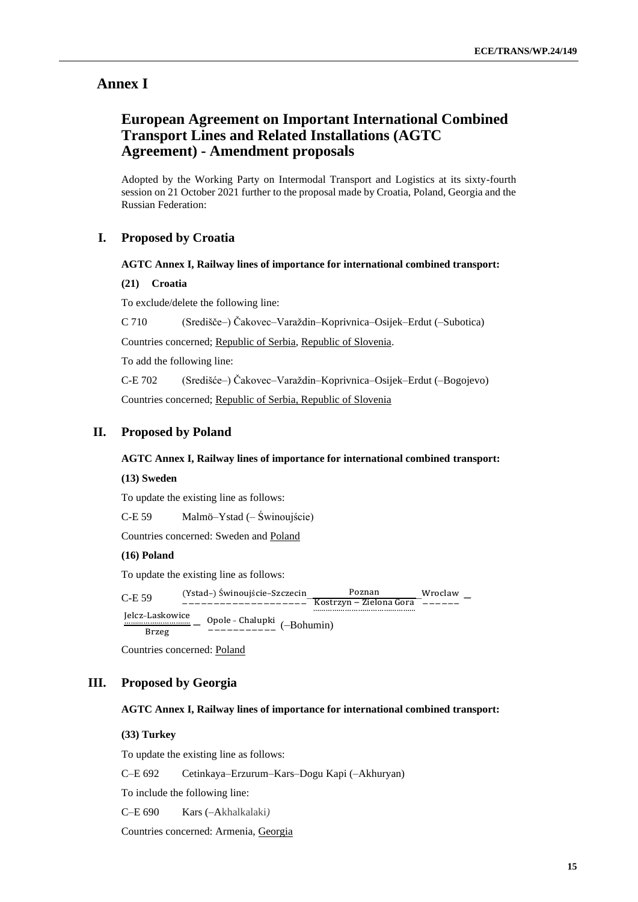### **Annex I**

### **European Agreement on Important International Combined Transport Lines and Related Installations (AGTC Agreement) - Amendment proposals**

Adopted by the Working Party on Intermodal Transport and Logistics at its sixty-fourth session on 21 October 2021 further to the proposal made by Croatia, Poland, Georgia and the Russian Federation:

### **I. Proposed by Croatia**

### **AGTC Annex I, Railway lines of importance for international combined transport:**

#### **(21) Croatia**

To exclude/delete the following line:

C 710 (Središče–) Čakovec–Varaždin–Koprivnica–Osijek–Erdut (–Subotica)

Countries concerned; Republic of Serbia, Republic of Slovenia.

To add the following line:

C-E 702 (Središće–) Čakovec–Varaždin–Koprivnica–Osijek–Erdut (–Bogojevo) Countries concerned; Republic of Serbia, Republic of Slovenia

### **II. Proposed by Poland**

#### **AGTC Annex I, Railway lines of importance for international combined transport:**

#### **(13) Sweden**

To update the existing line as follows:

C-E 59 Malmö–Ystad (– Świnoujście)

Countries concerned: Sweden and Poland

### **(16) Poland**

To update the existing line as follows:

C-E 59 (Ystad–) Świnoujście–Szczecin −−−−−−−−−−−−−−−−−−−− – Kostrzyn − Zielona Gora ………………………………………… Poznan – Wroclaw − −−−−−−

Jelcz–Laskowice …………………………. Brzeg − Opole – Chalupki −−−−−−−−−−− (–Bohumin)

Countries concerned: Poland

### **III. Proposed by Georgia**

#### **AGTC Annex I, Railway lines of importance for international combined transport:**

### **(33) Turkey**

To update the existing line as follows:

C–E 692 Cetinkaya–Erzurum–Kars–Dogu Kapi (–Akhuryan)

To include the following line:

C–E 690 Kars (–Akhalkalaki*)*

Countries concerned: Armenia, Georgia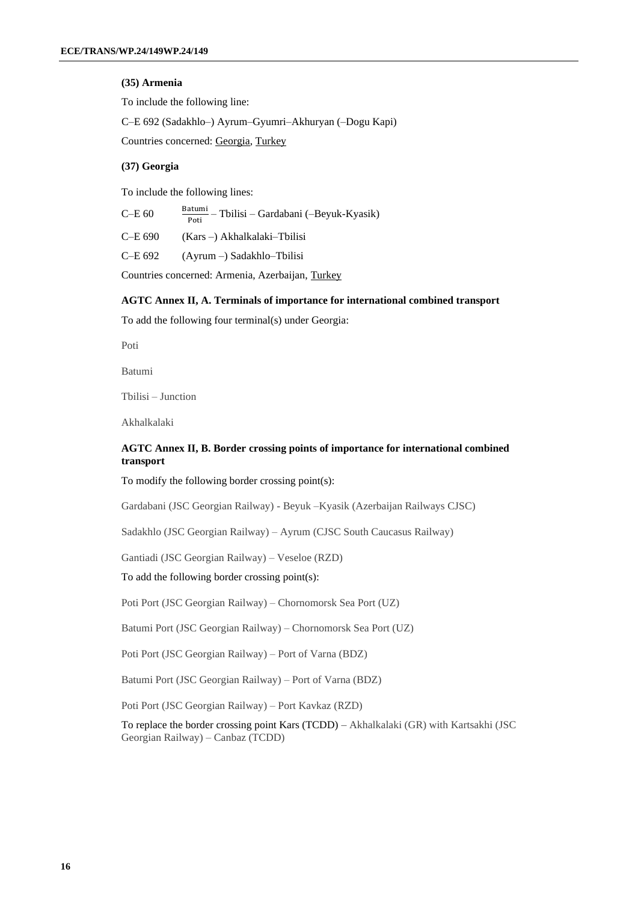### **(35) Armenia**

To include the following line:

C–E 692 (Sadakhlo–) Ayrum–Gyumri–Akhuryan (–Dogu Kapi)

Countries concerned: Georgia, Turkey

### **(37) Georgia**

To include the following lines:

| $C$ –E 60 | Batumi<br>$\frac{\text{5}}{2}$ – Tbilisi – Gardabani (–Beyuk-Kyasik)<br>Poti |
|-----------|------------------------------------------------------------------------------|
|-----------|------------------------------------------------------------------------------|

| C-E 690 | $(Kars-) Akhalkalaki-Tbilisi$ |
|---------|-------------------------------|
|---------|-------------------------------|

C–E 692 (Ayrum *–*) Sadakhlo–Tbilisi

Countries concerned: Armenia, Azerbaijan, Turkey

### **AGTC Annex II, A. Terminals of importance for international combined transport**

To add the following four terminal(s) under Georgia:

Poti

Batumi

Tbilisi – Junction

Akhalkalaki

### **AGTC Annex II, B. Border crossing points of importance for international combined transport**

To modify the following border crossing point(s):

Gardabani (JSC Georgian Railway) - Beyuk –Kyasik (Azerbaijan Railways CJSC)

Sadakhlo (JSC Georgian Railway) – Ayrum (CJSC South Caucasus Railway)

Gantiadi (JSC Georgian Railway) – Veseloe (RZD)

To add the following border crossing point(s):

Poti Port (JSC Georgian Railway) – Chornomorsk Sea Port (UZ)

Batumi Port (JSC Georgian Railway) – Chornomorsk Sea Port (UZ)

Poti Port (JSC Georgian Railway) – Port of Varna (BDZ)

Batumi Port (JSC Georgian Railway) – Port of Varna (BDZ)

Poti Port (JSC Georgian Railway) – Port Kavkaz (RZD)

To replace the border crossing point Kars (TCDD) – Akhalkalaki (GR) with Kartsakhi (JSC Georgian Railway) – Canbaz (TCDD)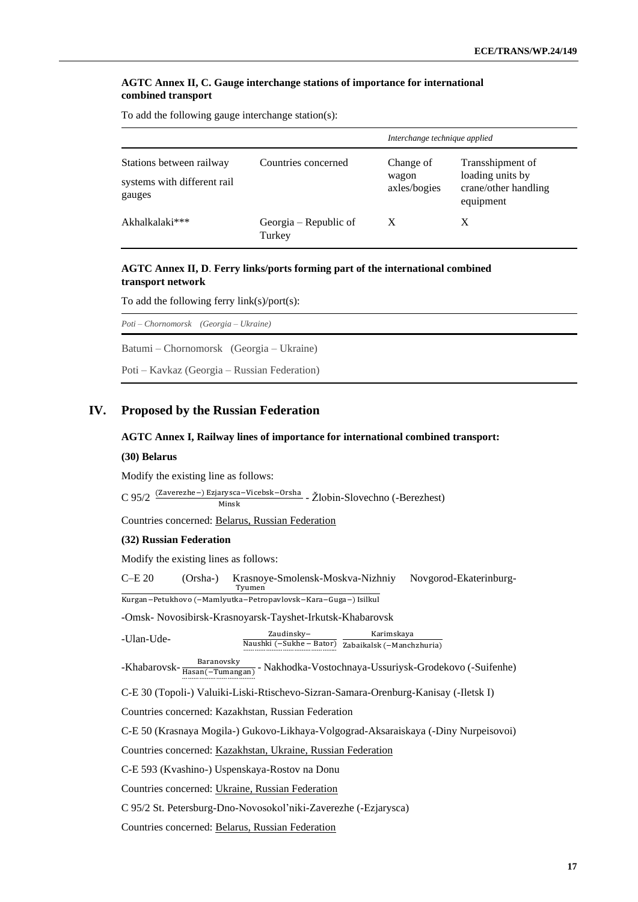### **AGTC Annex II, C. Gauge interchange stations of importance for international combined transport**

To add the following gauge interchange station(s):

|                                                                   |                                 | Interchange technique applied      |                                                                           |
|-------------------------------------------------------------------|---------------------------------|------------------------------------|---------------------------------------------------------------------------|
| Stations between railway<br>systems with different rail<br>gauges | Countries concerned             | Change of<br>wagon<br>axles/bogies | Transshipment of<br>loading units by<br>crane/other handling<br>equipment |
| Akhalkalaki***                                                    | Georgia – Republic of<br>Turkey | X                                  | X                                                                         |

### **AGTC Annex II, D**. **Ferry links/ports forming part of the international combined transport network**

To add the following ferry link(s)/port(s):

| Poti – Chornomorsk (Georgia – Ukraine)       |
|----------------------------------------------|
| Batumi – Chornomorsk (Georgia – Ukraine)     |
| Poti – Kavkaz (Georgia – Russian Federation) |

### **IV. Proposed by the Russian Federation**

### **AGTC Annex I, Railway lines of importance for international combined transport:**

#### **(30) Belarus**

Modify the existing line as follows:

C 95/2 (Zaverezhe–) Ezjarysca–Vicebsk–Orsha - Žlobin-Slovechno (-Berezhest) Minsk

Countries concerned: Belarus, Russian Federation

### **(32) Russian Federation**

Modify the existing lines as follows:

C–E 20 (Orsha-) Krasnoye-Smolensk-Moskva-Nizhniy Novgorod-Ekaterinburg-Tyumen

Kurgan−Petukhovo (−Mamlyutka−Petropavlovsk−Kara−Guga−) Isilkul

-Omsk- Novosibirsk-Krasnoyarsk-Tayshet-Irkutsk-Khabarovsk

| -Ulan-Ude- | Zaudinsky- | Karimskava                                             |
|------------|------------|--------------------------------------------------------|
|            |            | Naushki $(-Sukhe - Bator)$ Zabaikalsk $(-Manchzhuria)$ |

-Khabarovsk-Hasan(−Tumangan) ………………………………… - Nakhodka-Vostochnaya-Ussuriysk-Grodekovo (-Suifenhe) Baranovsky

C-E 30 (Topoli-) Valuiki-Liski-Rtischevo-Sizran-Samara-Orenburg-Kanisay (-Iletsk I)

Countries concerned: Kazakhstan, Russian Federation

C-E 50 (Krasnaya Mogila-) Gukovo-Likhaya-Volgograd-Aksaraiskaya (-Diny Nurpeisovoi)

Countries concerned: Kazakhstan, Ukraine, Russian Federation

C-E 593 (Kvashino-) Uspenskaya-Rostov na Donu

Countries concerned: Ukraine, Russian Federation

C 95/2 St. Petersburg-Dno-Novosokol'niki-Zaverezhe (-Ezjarysca)

Countries concerned: Belarus, Russian Federation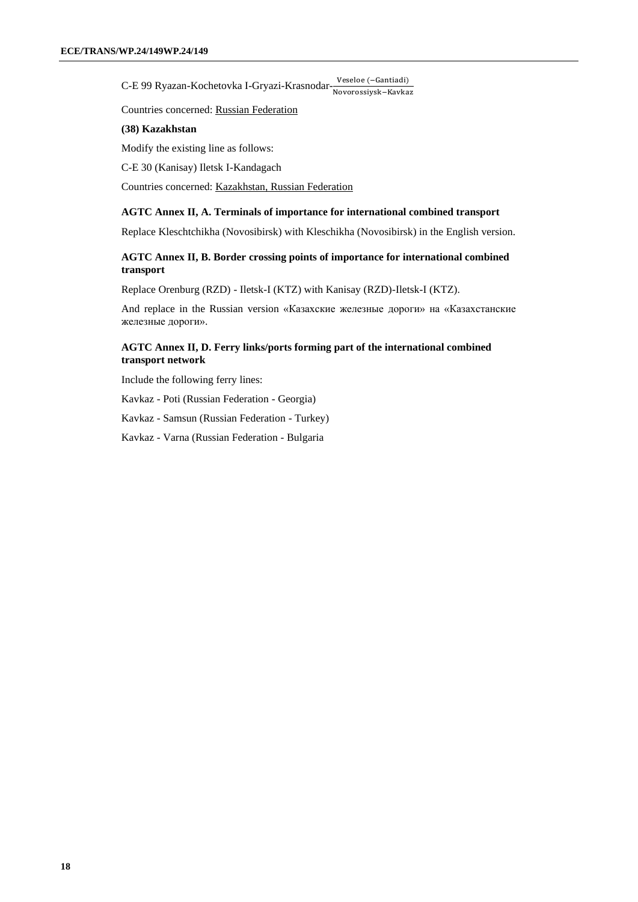C-E 99 Ryazan-Kochetovka I-Gryazi-Krasnodar-Veseloe (−Gantiadi) Novorossiysk−Kavkaz

Countries concerned: Russian Federation

#### **(38) Kazakhstan**

Modify the existing line as follows:

C-E 30 (Kanisay) Iletsk I-Kandagach

Countries concerned: Kazakhstan, Russian Federation

### **AGTC Annex II, A. Terminals of importance for international combined transport**

Replace Kleschtchikha (Novosibirsk) with Kleschikha (Novosibirsk) in the English version.

### **AGTC Annex II, B. Border crossing points of importance for international combined transport**

Replace Orenburg (RZD) - Iletsk-I (KTZ) with Kanisay (RZD)-Iletsk-I (KTZ).

And replace in the Russian version «Казахские железные дороги» на «Казахстанские железные дороги».

### **AGTC Annex II, D. Ferry links/ports forming part of the international combined transport network**

Include the following ferry lines:

Kavkaz - Poti (Russian Federation - Georgia)

Kavkaz - Samsun (Russian Federation - Turkey)

Kavkaz - Varna (Russian Federation - Bulgaria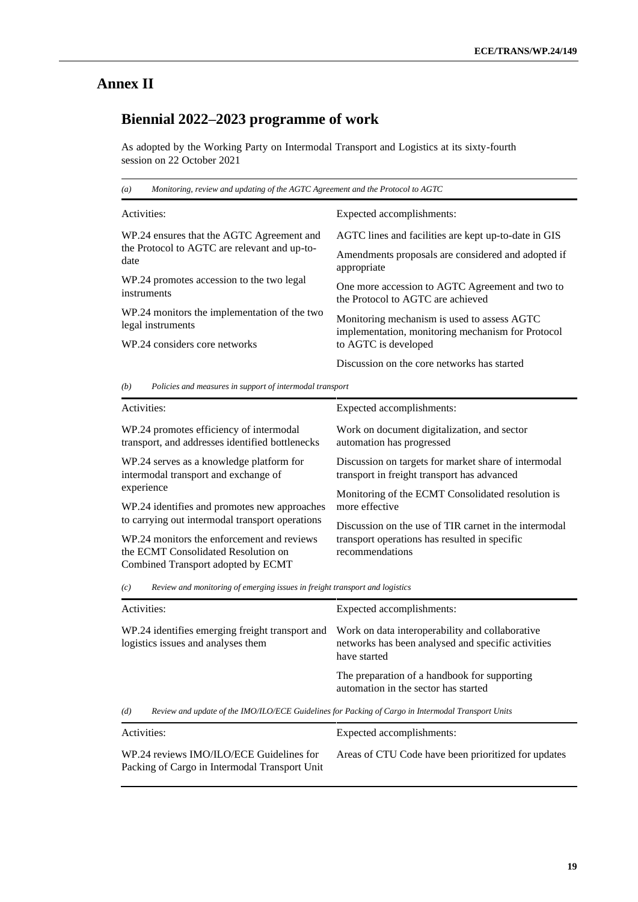# **Annex II**

# **Biennial 2022–2023 programme of work**

As adopted by the Working Party on Intermodal Transport and Logistics at its sixty-fourth session on 22 October 2021

| Monitoring, review and updating of the AGTC Agreement and the Protocol to AGTC<br>$\left(a\right)$ |                                                      |  |
|----------------------------------------------------------------------------------------------------|------------------------------------------------------|--|
| Activities:                                                                                        | Expected accomplishments:                            |  |
| WP.24 ensures that the AGTC Agreement and                                                          | AGTC lines and facilities are kept up-to-date in GIS |  |
| the Protocol to AGTC are relevant and up-to-                                                       | Amendments proposals are considered and adopted if   |  |
| date                                                                                               | appropriate                                          |  |
| WP.24 promotes accession to the two legal                                                          | One more accession to AGTC Agreement and two to      |  |
| instruments                                                                                        | the Protocol to AGTC are achieved                    |  |
| WP.24 monitors the implementation of the two                                                       | Monitoring mechanism is used to assess AGTC          |  |
| legal instruments                                                                                  | implementation, monitoring mechanism for Protocol    |  |
| WP.24 considers core networks                                                                      | to AGTC is developed                                 |  |
|                                                                                                    | Discussion on the core networks has started          |  |

*(b) Policies and measures in support of intermodal transport*

| Activities:                                                                                | Expected accomplishments:                                                                           |
|--------------------------------------------------------------------------------------------|-----------------------------------------------------------------------------------------------------|
| WP.24 promotes efficiency of intermodal<br>transport, and addresses identified bottlenecks | Work on document digitalization, and sector<br>automation has progressed                            |
| WP.24 serves as a knowledge platform for<br>intermodal transport and exchange of           | Discussion on targets for market share of intermodal<br>transport in freight transport has advanced |
| experience                                                                                 | Monitoring of the ECMT Consolidated resolution is                                                   |
| WP.24 identifies and promotes new approaches                                               | more effective                                                                                      |
| to carrying out intermodal transport operations                                            | Discussion on the use of TIR carnet in the intermodal                                               |
| WP.24 monitors the enforcement and reviews                                                 | transport operations has resulted in specific                                                       |
| the ECMT Consolidated Resolution on                                                        | recommendations                                                                                     |
| Combined Transport adopted by ECMT                                                         |                                                                                                     |

*(c) Review and monitoring of emerging issues in freight transport and logistics*

| Activities:                                                                           | Expected accomplishments:                                                                                             |  |
|---------------------------------------------------------------------------------------|-----------------------------------------------------------------------------------------------------------------------|--|
| WP.24 identifies emerging freight transport and<br>logistics issues and analyses them | Work on data interoperability and collaborative<br>networks has been analysed and specific activities<br>have started |  |
|                                                                                       | The preparation of a handbook for supporting<br>automation in the sector has started                                  |  |
| (d)                                                                                   | Review and update of the IMO/ILO/ECE Guidelines for Packing of Cargo in Intermodal Transport Units                    |  |
| Activities.                                                                           | Expected accomplishments:                                                                                             |  |

| AUTORIA                                                                                   | <i>EXpected accomplismichts.</i>                    |
|-------------------------------------------------------------------------------------------|-----------------------------------------------------|
| WP.24 reviews IMO/ILO/ECE Guidelines for<br>Packing of Cargo in Intermodal Transport Unit | Areas of CTU Code have been prioritized for updates |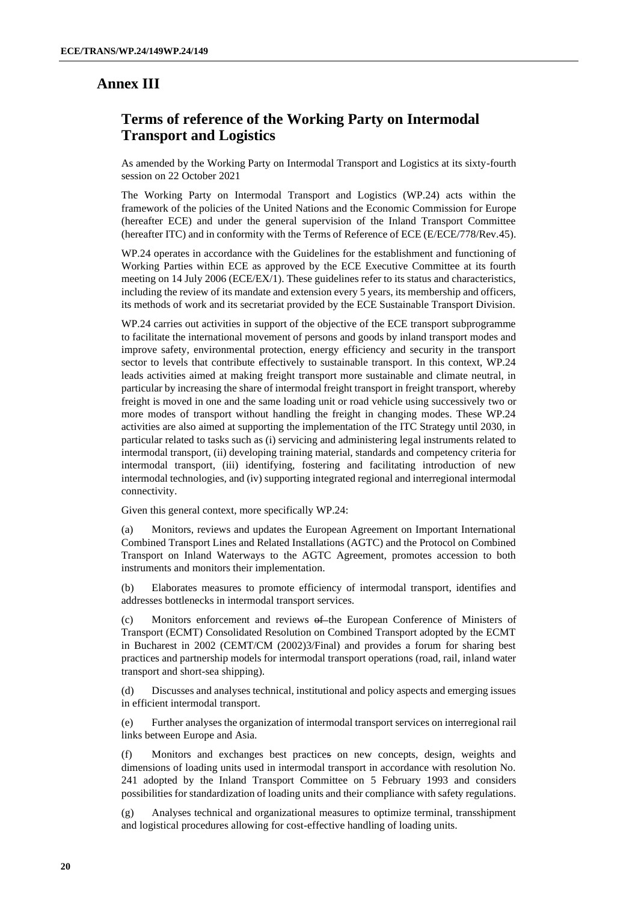## **Annex III**

## **Terms of reference of the Working Party on Intermodal Transport and Logistics**

As amended by the Working Party on Intermodal Transport and Logistics at its sixty-fourth session on 22 October 2021

The Working Party on Intermodal Transport and Logistics (WP.24) acts within the framework of the policies of the United Nations and the Economic Commission for Europe (hereafter ECE) and under the general supervision of the Inland Transport Committee (hereafter ITC) and in conformity with the Terms of Reference of ECE (E/ECE/778/Rev.45).

WP.24 operates in accordance with the Guidelines for the establishment and functioning of Working Parties within ECE as approved by the ECE Executive Committee at its fourth meeting on 14 July 2006 (ECE/EX/1). These guidelines refer to its status and characteristics, including the review of its mandate and extension every 5 years, its membership and officers, its methods of work and its secretariat provided by the ECE Sustainable Transport Division.

WP.24 carries out activities in support of the objective of the ECE transport subprogramme to facilitate the international movement of persons and goods by inland transport modes and improve safety, environmental protection, energy efficiency and security in the transport sector to levels that contribute effectively to sustainable transport. In this context, WP.24 leads activities aimed at making freight transport more sustainable and climate neutral, in particular by increasing the share of intermodal freight transport in freight transport, whereby freight is moved in one and the same loading unit or road vehicle using successively two or more modes of transport without handling the freight in changing modes. These WP.24 activities are also aimed at supporting the implementation of the ITC Strategy until 2030, in particular related to tasks such as (i) servicing and administering legal instruments related to intermodal transport, (ii) developing training material, standards and competency criteria for intermodal transport, (iii) identifying, fostering and facilitating introduction of new intermodal technologies, and (iv) supporting integrated regional and interregional intermodal connectivity.

Given this general context, more specifically WP.24:

(a) Monitors, reviews and updates the European Agreement on Important International Combined Transport Lines and Related Installations (AGTC) and the Protocol on Combined Transport on Inland Waterways to the AGTC Agreement, promotes accession to both instruments and monitors their implementation.

(b) Elaborates measures to promote efficiency of intermodal transport, identifies and addresses bottlenecks in intermodal transport services.

(c) Monitors enforcement and reviews of the European Conference of Ministers of Transport (ECMT) Consolidated Resolution on Combined Transport adopted by the ECMT in Bucharest in 2002 (CEMT/CM (2002)3/Final) and provides a forum for sharing best practices and partnership models for intermodal transport operations (road, rail, inland water transport and short-sea shipping).

(d) Discusses and analyses technical, institutional and policy aspects and emerging issues in efficient intermodal transport.

(e) Further analyses the organization of intermodal transport services on interregional rail links between Europe and Asia.

(f) Monitors and exchanges best practices on new concepts, design, weights and dimensions of loading units used in intermodal transport in accordance with resolution No. 241 adopted by the Inland Transport Committee on 5 February 1993 and considers possibilities for standardization of loading units and their compliance with safety regulations.

(g) Analyses technical and organizational measures to optimize terminal, transshipment and logistical procedures allowing for cost-effective handling of loading units.